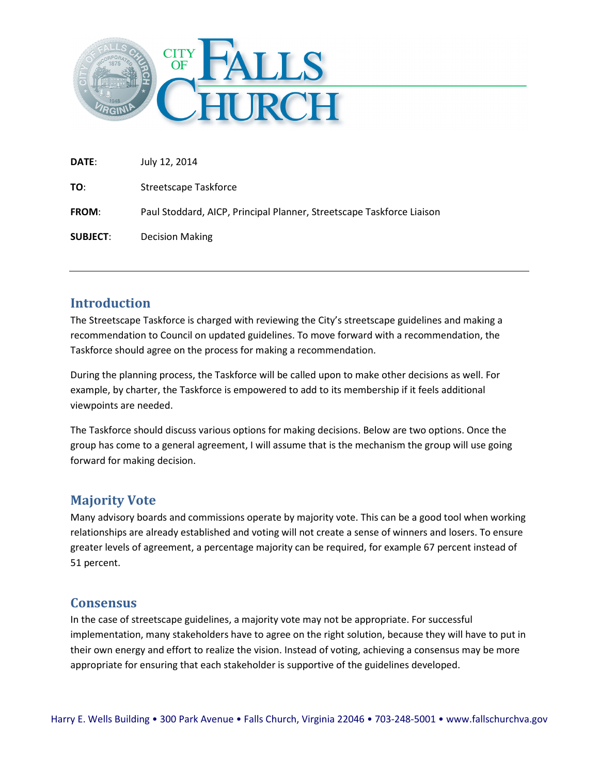

| <b>DATE:</b>    | July 12, 2014                                                         |
|-----------------|-----------------------------------------------------------------------|
| TO:             | Streetscape Taskforce                                                 |
| <b>FROM:</b>    | Paul Stoddard, AICP, Principal Planner, Streetscape Taskforce Liaison |
| <b>SUBJECT:</b> | <b>Decision Making</b>                                                |

## **Introduction**

The Streetscape Taskforce is charged with reviewing the City's streetscape guidelines and making a recommendation to Council on updated guidelines. To move forward with a recommendation, the Taskforce should agree on the process for making a recommendation.

During the planning process, the Taskforce will be called upon to make other decisions as well. For example, by charter, the Taskforce is empowered to add to its membership if it feels additional viewpoints are needed.

The Taskforce should discuss various options for making decisions. Below are two options. Once the group has come to a general agreement, I will assume that is the mechanism the group will use going forward for making decision.

## **Majority Vote**

Many advisory boards and commissions operate by majority vote. This can be a good tool when working relationships are already established and voting will not create a sense of winners and losers. To ensure greater levels of agreement, a percentage majority can be required, for example 67 percent instead of 51 percent.

## **Consensus**

In the case of streetscape guidelines, a majority vote may not be appropriate. For successful implementation, many stakeholders have to agree on the right solution, because they will have to put in their own energy and effort to realize the vision. Instead of voting, achieving a consensus may be more appropriate for ensuring that each stakeholder is supportive of the guidelines developed.